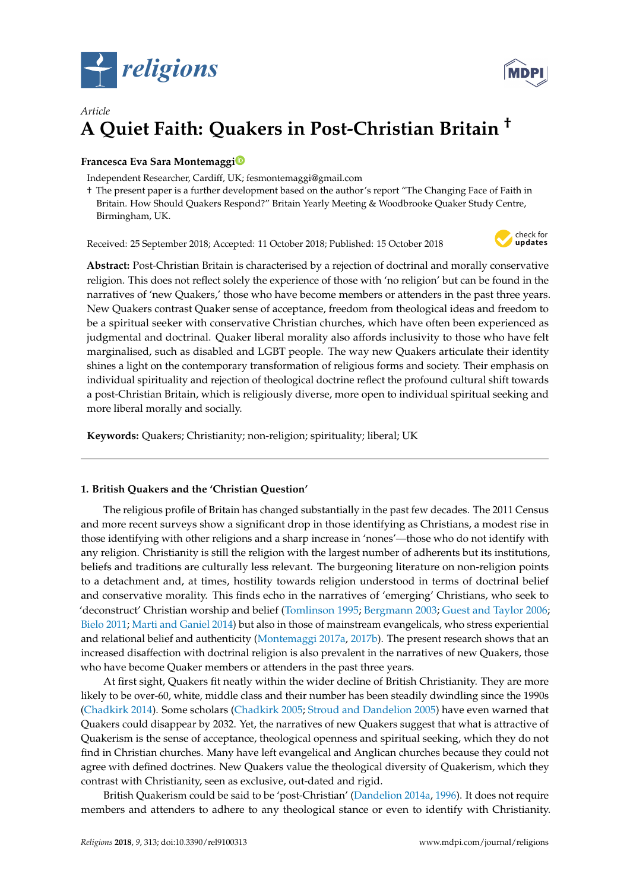



# *Article* **A Quiet Faith: Quakers in Post-Christian Britain †**

## **Francesca Eva Sara Montemagg[i](https://orcid.org/0000-0001-7916-4611)**

Independent Researcher, Cardiff, UK; fesmontemaggi@gmail.com

† The present paper is a further development based on the author's report "The Changing Face of Faith in Britain. How Should Quakers Respond?" Britain Yearly Meeting & Woodbrooke Quaker Study Centre, Birmingham, UK.

Received: 25 September 2018; Accepted: 11 October 2018; Published: 15 October 2018



**Abstract:** Post-Christian Britain is characterised by a rejection of doctrinal and morally conservative religion. This does not reflect solely the experience of those with 'no religion' but can be found in the narratives of 'new Quakers,' those who have become members or attenders in the past three years. New Quakers contrast Quaker sense of acceptance, freedom from theological ideas and freedom to be a spiritual seeker with conservative Christian churches, which have often been experienced as judgmental and doctrinal. Quaker liberal morality also affords inclusivity to those who have felt marginalised, such as disabled and LGBT people. The way new Quakers articulate their identity shines a light on the contemporary transformation of religious forms and society. Their emphasis on individual spirituality and rejection of theological doctrine reflect the profound cultural shift towards a post-Christian Britain, which is religiously diverse, more open to individual spiritual seeking and more liberal morally and socially.

**Keywords:** Quakers; Christianity; non-religion; spirituality; liberal; UK

## **1. British Quakers and the 'Christian Question'**

The religious profile of Britain has changed substantially in the past few decades. The 2011 Census and more recent surveys show a significant drop in those identifying as Christians, a modest rise in those identifying with other religions and a sharp increase in 'nones'—those who do not identify with any religion. Christianity is still the religion with the largest number of adherents but its institutions, beliefs and traditions are culturally less relevant. The burgeoning literature on non-religion points to a detachment and, at times, hostility towards religion understood in terms of doctrinal belief and conservative morality. This finds echo in the narratives of 'emerging' Christians, who seek to 'deconstruct' Christian worship and belief [\(Tomlinson](#page-12-0) [1995;](#page-12-0) [Bergmann](#page-11-0) [2003;](#page-11-0) [Guest and Taylor](#page-11-1) [2006;](#page-11-1) [Bielo](#page-11-2) [2011;](#page-11-2) [Marti and Ganiel](#page-12-1) [2014\)](#page-12-1) but also in those of mainstream evangelicals, who stress experiential and relational belief and authenticity [\(Montemaggi](#page-12-2) [2017a,](#page-12-2) [2017b\)](#page-12-3). The present research shows that an increased disaffection with doctrinal religion is also prevalent in the narratives of new Quakers, those who have become Quaker members or attenders in the past three years.

At first sight, Quakers fit neatly within the wider decline of British Christianity. They are more likely to be over-60, white, middle class and their number has been steadily dwindling since the 1990s [\(Chadkirk](#page-11-3) [2014\)](#page-11-3). Some scholars [\(Chadkirk](#page-11-4) [2005;](#page-11-4) [Stroud and Dandelion](#page-12-4) [2005\)](#page-12-4) have even warned that Quakers could disappear by 2032. Yet, the narratives of new Quakers suggest that what is attractive of Quakerism is the sense of acceptance, theological openness and spiritual seeking, which they do not find in Christian churches. Many have left evangelical and Anglican churches because they could not agree with defined doctrines. New Quakers value the theological diversity of Quakerism, which they contrast with Christianity, seen as exclusive, out-dated and rigid.

British Quakerism could be said to be 'post-Christian' [\(Dandelion](#page-11-5) [2014a,](#page-11-5) [1996\)](#page-11-6). It does not require members and attenders to adhere to any theological stance or even to identify with Christianity.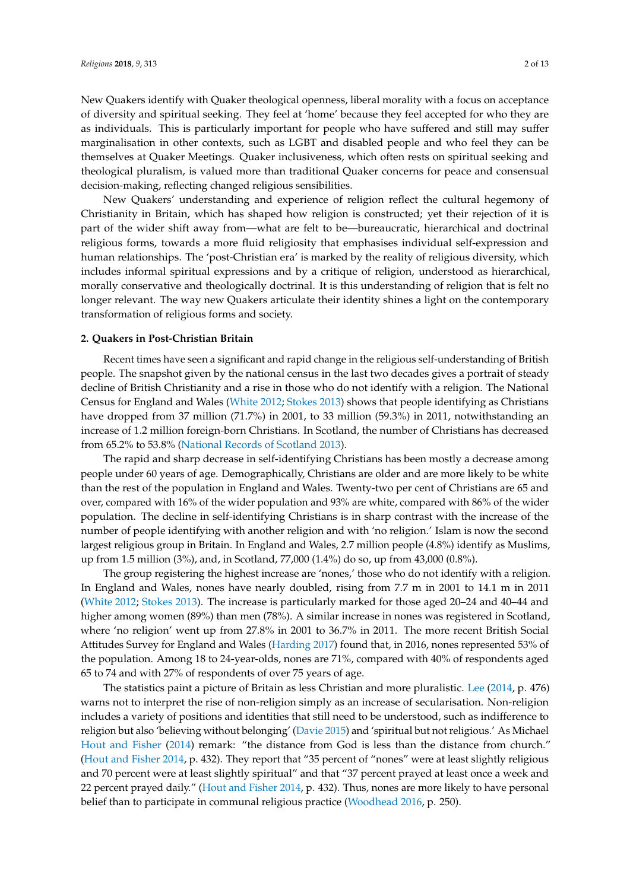New Quakers identify with Quaker theological openness, liberal morality with a focus on acceptance of diversity and spiritual seeking. They feel at 'home' because they feel accepted for who they are as individuals. This is particularly important for people who have suffered and still may suffer marginalisation in other contexts, such as LGBT and disabled people and who feel they can be themselves at Quaker Meetings. Quaker inclusiveness, which often rests on spiritual seeking and theological pluralism, is valued more than traditional Quaker concerns for peace and consensual decision-making, reflecting changed religious sensibilities.

New Quakers' understanding and experience of religion reflect the cultural hegemony of Christianity in Britain, which has shaped how religion is constructed; yet their rejection of it is part of the wider shift away from—what are felt to be—bureaucratic, hierarchical and doctrinal religious forms, towards a more fluid religiosity that emphasises individual self-expression and human relationships. The 'post-Christian era' is marked by the reality of religious diversity, which includes informal spiritual expressions and by a critique of religion, understood as hierarchical, morally conservative and theologically doctrinal. It is this understanding of religion that is felt no longer relevant. The way new Quakers articulate their identity shines a light on the contemporary transformation of religious forms and society.

#### **2. Quakers in Post-Christian Britain**

Recent times have seen a significant and rapid change in the religious self-understanding of British people. The snapshot given by the national census in the last two decades gives a portrait of steady decline of British Christianity and a rise in those who do not identify with a religion. The National Census for England and Wales [\(White](#page-12-5) [2012;](#page-12-5) [Stokes](#page-12-6) [2013\)](#page-12-6) shows that people identifying as Christians have dropped from 37 million (71.7%) in 2001, to 33 million (59.3%) in 2011, notwithstanding an increase of 1.2 million foreign-born Christians. In Scotland, the number of Christians has decreased from 65.2% to 53.8% [\(National Records of Scotland](#page-12-7) [2013\)](#page-12-7).

The rapid and sharp decrease in self-identifying Christians has been mostly a decrease among people under 60 years of age. Demographically, Christians are older and are more likely to be white than the rest of the population in England and Wales. Twenty-two per cent of Christians are 65 and over, compared with 16% of the wider population and 93% are white, compared with 86% of the wider population. The decline in self-identifying Christians is in sharp contrast with the increase of the number of people identifying with another religion and with 'no religion.' Islam is now the second largest religious group in Britain. In England and Wales, 2.7 million people (4.8%) identify as Muslims, up from 1.5 million (3%), and, in Scotland, 77,000 (1.4%) do so, up from 43,000 (0.8%).

The group registering the highest increase are 'nones,' those who do not identify with a religion. In England and Wales, nones have nearly doubled, rising from 7.7 m in 2001 to 14.1 m in 2011 [\(White](#page-12-5) [2012;](#page-12-5) [Stokes](#page-12-6) [2013\)](#page-12-6). The increase is particularly marked for those aged 20–24 and 40–44 and higher among women (89%) than men (78%). A similar increase in nones was registered in Scotland, where 'no religion' went up from 27.8% in 2001 to 36.7% in 2011. The more recent British Social Attitudes Survey for England and Wales [\(Harding](#page-11-7) [2017\)](#page-11-7) found that, in 2016, nones represented 53% of the population. Among 18 to 24-year-olds, nones are 71%, compared with 40% of respondents aged 65 to 74 and with 27% of respondents of over 75 years of age.

The statistics paint a picture of Britain as less Christian and more pluralistic. [Lee](#page-11-8) [\(2014,](#page-11-8) p. 476) warns not to interpret the rise of non-religion simply as an increase of secularisation. Non-religion includes a variety of positions and identities that still need to be understood, such as indifference to religion but also 'believing without belonging' [\(Davie](#page-11-9) [2015\)](#page-11-9) and 'spiritual but not religious.' As Michael [Hout and Fisher](#page-11-10) [\(2014\)](#page-11-10) remark: "the distance from God is less than the distance from church." [\(Hout and Fisher](#page-11-10) [2014,](#page-11-10) p. 432). They report that "35 percent of "nones" were at least slightly religious and 70 percent were at least slightly spiritual" and that "37 percent prayed at least once a week and 22 percent prayed daily." [\(Hout and Fisher](#page-11-10) [2014,](#page-11-10) p. 432). Thus, nones are more likely to have personal belief than to participate in communal religious practice [\(Woodhead](#page-12-8) [2016,](#page-12-8) p. 250).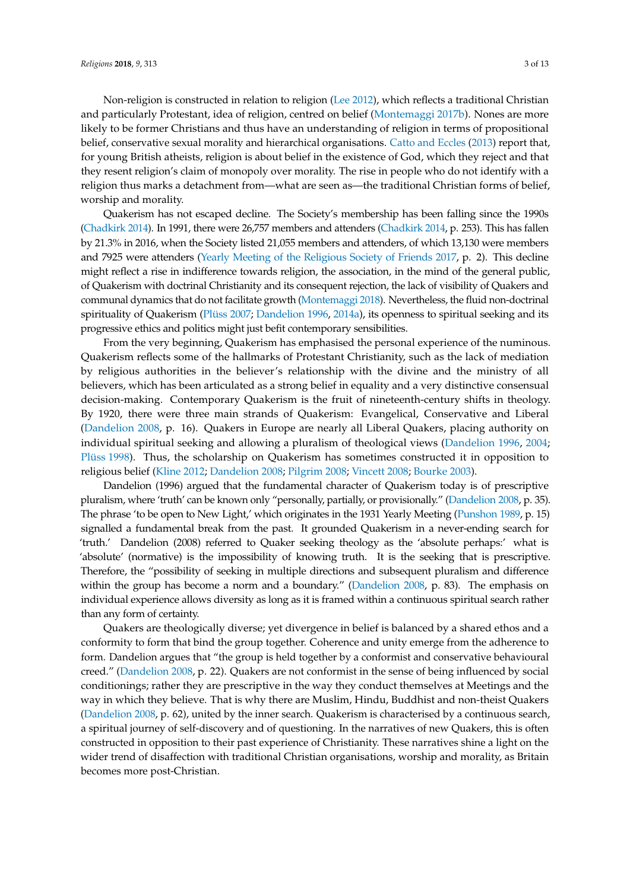Non-religion is constructed in relation to religion [\(Lee](#page-11-11) [2012\)](#page-11-11), which reflects a traditional Christian and particularly Protestant, idea of religion, centred on belief [\(Montemaggi](#page-12-3) [2017b\)](#page-12-3). Nones are more likely to be former Christians and thus have an understanding of religion in terms of propositional belief, conservative sexual morality and hierarchical organisations. [Catto and Eccles](#page-11-12) [\(2013\)](#page-11-12) report that, for young British atheists, religion is about belief in the existence of God, which they reject and that they resent religion's claim of monopoly over morality. The rise in people who do not identify with a religion thus marks a detachment from—what are seen as—the traditional Christian forms of belief, worship and morality.

Quakerism has not escaped decline. The Society's membership has been falling since the 1990s [\(Chadkirk](#page-11-3) [2014\)](#page-11-3). In 1991, there were 26,757 members and attenders [\(Chadkirk](#page-11-3) [2014,](#page-11-3) p. 253). This has fallen by 21.3% in 2016, when the Society listed 21,055 members and attenders, of which 13,130 were members and 7925 were attenders [\(Yearly Meeting of the Religious Society of Friends](#page-12-9) [2017,](#page-12-9) p. 2). This decline might reflect a rise in indifference towards religion, the association, in the mind of the general public, of Quakerism with doctrinal Christianity and its consequent rejection, the lack of visibility of Quakers and communal dynamics that do not facilitate growth [\(Montemaggi](#page-12-10) [2018\)](#page-12-10). Nevertheless, the fluid non-doctrinal spirituality of Quakerism [\(Plüss](#page-12-11) [2007;](#page-12-11) [Dandelion](#page-11-6) [1996,](#page-11-6) [2014a\)](#page-11-5), its openness to spiritual seeking and its progressive ethics and politics might just befit contemporary sensibilities.

From the very beginning, Quakerism has emphasised the personal experience of the numinous. Quakerism reflects some of the hallmarks of Protestant Christianity, such as the lack of mediation by religious authorities in the believer's relationship with the divine and the ministry of all believers, which has been articulated as a strong belief in equality and a very distinctive consensual decision-making. Contemporary Quakerism is the fruit of nineteenth-century shifts in theology. By 1920, there were three main strands of Quakerism: Evangelical, Conservative and Liberal [\(Dandelion](#page-11-13) [2008,](#page-11-13) p. 16). Quakers in Europe are nearly all Liberal Quakers, placing authority on individual spiritual seeking and allowing a pluralism of theological views [\(Dandelion](#page-11-6) [1996,](#page-11-6) [2004;](#page-11-14) [Plüss](#page-12-12) [1998\)](#page-12-12). Thus, the scholarship on Quakerism has sometimes constructed it in opposition to religious belief [\(Kline](#page-11-15) [2012;](#page-11-15) [Dandelion](#page-11-13) [2008;](#page-11-13) [Pilgrim](#page-12-13) [2008;](#page-12-13) [Vincett](#page-12-14) [2008;](#page-12-14) [Bourke](#page-11-16) [2003\)](#page-11-16).

Dandelion (1996) argued that the fundamental character of Quakerism today is of prescriptive pluralism, where 'truth' can be known only "personally, partially, or provisionally." [\(Dandelion](#page-11-13) [2008,](#page-11-13) p. 35). The phrase 'to be open to New Light,' which originates in the 1931 Yearly Meeting [\(Punshon](#page-12-15) [1989,](#page-12-15) p. 15) signalled a fundamental break from the past. It grounded Quakerism in a never-ending search for 'truth.' Dandelion (2008) referred to Quaker seeking theology as the 'absolute perhaps:' what is 'absolute' (normative) is the impossibility of knowing truth. It is the seeking that is prescriptive. Therefore, the "possibility of seeking in multiple directions and subsequent pluralism and difference within the group has become a norm and a boundary." [\(Dandelion](#page-11-13) [2008,](#page-11-13) p. 83). The emphasis on individual experience allows diversity as long as it is framed within a continuous spiritual search rather than any form of certainty.

Quakers are theologically diverse; yet divergence in belief is balanced by a shared ethos and a conformity to form that bind the group together. Coherence and unity emerge from the adherence to form. Dandelion argues that "the group is held together by a conformist and conservative behavioural creed." [\(Dandelion](#page-11-13) [2008,](#page-11-13) p. 22). Quakers are not conformist in the sense of being influenced by social conditionings; rather they are prescriptive in the way they conduct themselves at Meetings and the way in which they believe. That is why there are Muslim, Hindu, Buddhist and non-theist Quakers [\(Dandelion](#page-11-13) [2008,](#page-11-13) p. 62), united by the inner search. Quakerism is characterised by a continuous search, a spiritual journey of self-discovery and of questioning. In the narratives of new Quakers, this is often constructed in opposition to their past experience of Christianity. These narratives shine a light on the wider trend of disaffection with traditional Christian organisations, worship and morality, as Britain becomes more post-Christian.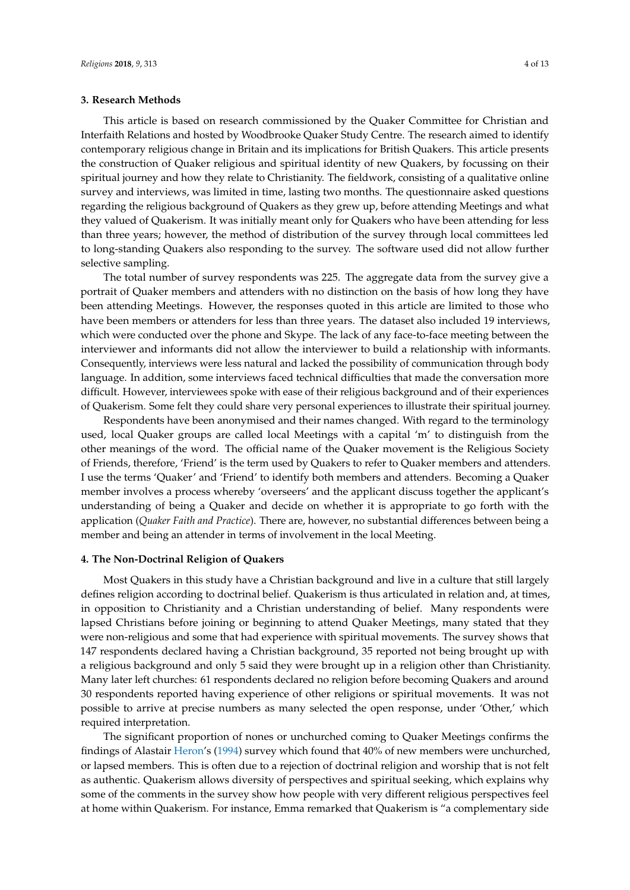#### **3. Research Methods**

This article is based on research commissioned by the Quaker Committee for Christian and Interfaith Relations and hosted by Woodbrooke Quaker Study Centre. The research aimed to identify contemporary religious change in Britain and its implications for British Quakers. This article presents the construction of Quaker religious and spiritual identity of new Quakers, by focussing on their spiritual journey and how they relate to Christianity. The fieldwork, consisting of a qualitative online survey and interviews, was limited in time, lasting two months. The questionnaire asked questions regarding the religious background of Quakers as they grew up, before attending Meetings and what they valued of Quakerism. It was initially meant only for Quakers who have been attending for less than three years; however, the method of distribution of the survey through local committees led to long-standing Quakers also responding to the survey. The software used did not allow further selective sampling.

The total number of survey respondents was 225. The aggregate data from the survey give a portrait of Quaker members and attenders with no distinction on the basis of how long they have been attending Meetings. However, the responses quoted in this article are limited to those who have been members or attenders for less than three years. The dataset also included 19 interviews, which were conducted over the phone and Skype. The lack of any face-to-face meeting between the interviewer and informants did not allow the interviewer to build a relationship with informants. Consequently, interviews were less natural and lacked the possibility of communication through body language. In addition, some interviews faced technical difficulties that made the conversation more difficult. However, interviewees spoke with ease of their religious background and of their experiences of Quakerism. Some felt they could share very personal experiences to illustrate their spiritual journey.

Respondents have been anonymised and their names changed. With regard to the terminology used, local Quaker groups are called local Meetings with a capital 'm' to distinguish from the other meanings of the word. The official name of the Quaker movement is the Religious Society of Friends, therefore, 'Friend' is the term used by Quakers to refer to Quaker members and attenders. I use the terms 'Quaker' and 'Friend' to identify both members and attenders. Becoming a Quaker member involves a process whereby 'overseers' and the applicant discuss together the applicant's understanding of being a Quaker and decide on whether it is appropriate to go forth with the application (*Quaker Faith and Practice*). There are, however, no substantial differences between being a member and being an attender in terms of involvement in the local Meeting.

### **4. The Non-Doctrinal Religion of Quakers**

Most Quakers in this study have a Christian background and live in a culture that still largely defines religion according to doctrinal belief. Quakerism is thus articulated in relation and, at times, in opposition to Christianity and a Christian understanding of belief. Many respondents were lapsed Christians before joining or beginning to attend Quaker Meetings, many stated that they were non-religious and some that had experience with spiritual movements. The survey shows that 147 respondents declared having a Christian background, 35 reported not being brought up with a religious background and only 5 said they were brought up in a religion other than Christianity. Many later left churches: 61 respondents declared no religion before becoming Quakers and around 30 respondents reported having experience of other religions or spiritual movements. It was not possible to arrive at precise numbers as many selected the open response, under 'Other,' which required interpretation.

The significant proportion of nones or unchurched coming to Quaker Meetings confirms the findings of Alastair [Heron'](#page-11-17)s [\(1994\)](#page-11-17) survey which found that 40% of new members were unchurched, or lapsed members. This is often due to a rejection of doctrinal religion and worship that is not felt as authentic. Quakerism allows diversity of perspectives and spiritual seeking, which explains why some of the comments in the survey show how people with very different religious perspectives feel at home within Quakerism. For instance, Emma remarked that Quakerism is "a complementary side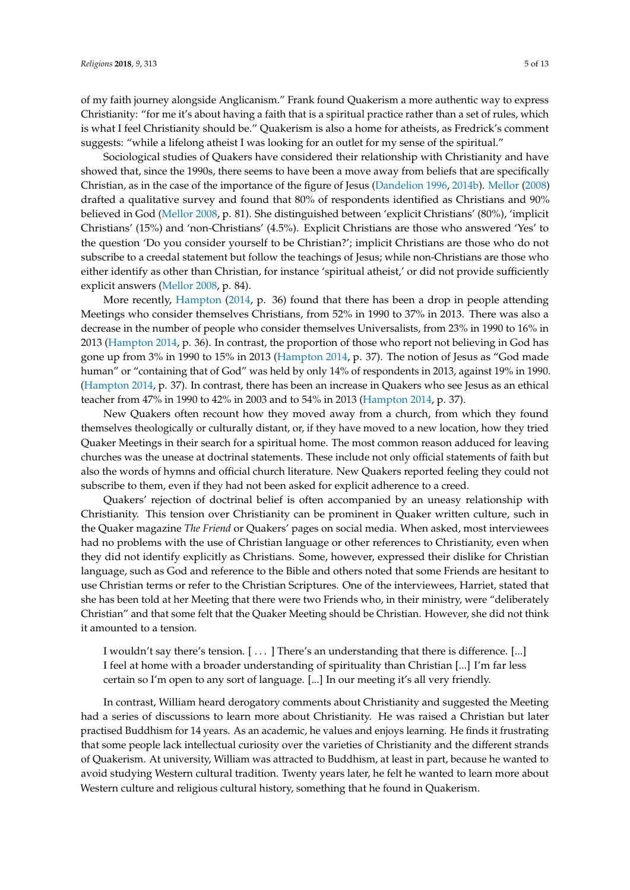of my faith journey alongside Anglicanism." Frank found Quakerism a more authentic way to express Christianity: "for me it's about having a faith that is a spiritual practice rather than a set of rules, which is what I feel Christianity should be." Quakerism is also a home for atheists, as Fredrick's comment suggests: "while a lifelong atheist I was looking for an outlet for my sense of the spiritual."

Sociological studies of Quakers have considered their relationship with Christianity and have showed that, since the 1990s, there seems to have been a move away from beliefs that are specifically Christian, as in the case of the importance of the figure of Jesus [\(Dandelion](#page-11-6) [1996,](#page-11-6) [2014b\)](#page-11-18). [Mellor](#page-12-16) [\(2008\)](#page-12-16) drafted a qualitative survey and found that 80% of respondents identified as Christians and 90% believed in God [\(Mellor](#page-12-16) [2008,](#page-12-16) p. 81). She distinguished between 'explicit Christians' (80%), 'implicit Christians' (15%) and 'non-Christians' (4.5%). Explicit Christians are those who answered 'Yes' to the question 'Do you consider yourself to be Christian?'; implicit Christians are those who do not subscribe to a creedal statement but follow the teachings of Jesus; while non-Christians are those who either identify as other than Christian, for instance 'spiritual atheist,' or did not provide sufficiently explicit answers [\(Mellor](#page-12-16) [2008,](#page-12-16) p. 84).

More recently, [Hampton](#page-11-19) [\(2014,](#page-11-19) p. 36) found that there has been a drop in people attending Meetings who consider themselves Christians, from 52% in 1990 to 37% in 2013. There was also a decrease in the number of people who consider themselves Universalists, from 23% in 1990 to 16% in 2013 [\(Hampton](#page-11-19) [2014,](#page-11-19) p. 36). In contrast, the proportion of those who report not believing in God has gone up from 3% in 1990 to 15% in 2013 [\(Hampton](#page-11-19) [2014,](#page-11-19) p. 37). The notion of Jesus as "God made human" or "containing that of God" was held by only 14% of respondents in 2013, against 19% in 1990. [\(Hampton](#page-11-19) [2014,](#page-11-19) p. 37). In contrast, there has been an increase in Quakers who see Jesus as an ethical teacher from 47% in 1990 to 42% in 2003 and to 54% in 2013 [\(Hampton](#page-11-19) [2014,](#page-11-19) p. 37).

New Quakers often recount how they moved away from a church, from which they found themselves theologically or culturally distant, or, if they have moved to a new location, how they tried Quaker Meetings in their search for a spiritual home. The most common reason adduced for leaving churches was the unease at doctrinal statements. These include not only official statements of faith but also the words of hymns and official church literature. New Quakers reported feeling they could not subscribe to them, even if they had not been asked for explicit adherence to a creed.

Quakers' rejection of doctrinal belief is often accompanied by an uneasy relationship with Christianity. This tension over Christianity can be prominent in Quaker written culture, such in the Quaker magazine *The Friend* or Quakers' pages on social media. When asked, most interviewees had no problems with the use of Christian language or other references to Christianity, even when they did not identify explicitly as Christians. Some, however, expressed their dislike for Christian language, such as God and reference to the Bible and others noted that some Friends are hesitant to use Christian terms or refer to the Christian Scriptures. One of the interviewees, Harriet, stated that she has been told at her Meeting that there were two Friends who, in their ministry, were "deliberately Christian" and that some felt that the Quaker Meeting should be Christian. However, she did not think it amounted to a tension.

I wouldn't say there's tension. [ . . . ] There's an understanding that there is difference. [...] I feel at home with a broader understanding of spirituality than Christian [...] I'm far less certain so I'm open to any sort of language. [...] In our meeting it's all very friendly.

In contrast, William heard derogatory comments about Christianity and suggested the Meeting had a series of discussions to learn more about Christianity. He was raised a Christian but later practised Buddhism for 14 years. As an academic, he values and enjoys learning. He finds it frustrating that some people lack intellectual curiosity over the varieties of Christianity and the different strands of Quakerism. At university, William was attracted to Buddhism, at least in part, because he wanted to avoid studying Western cultural tradition. Twenty years later, he felt he wanted to learn more about Western culture and religious cultural history, something that he found in Quakerism.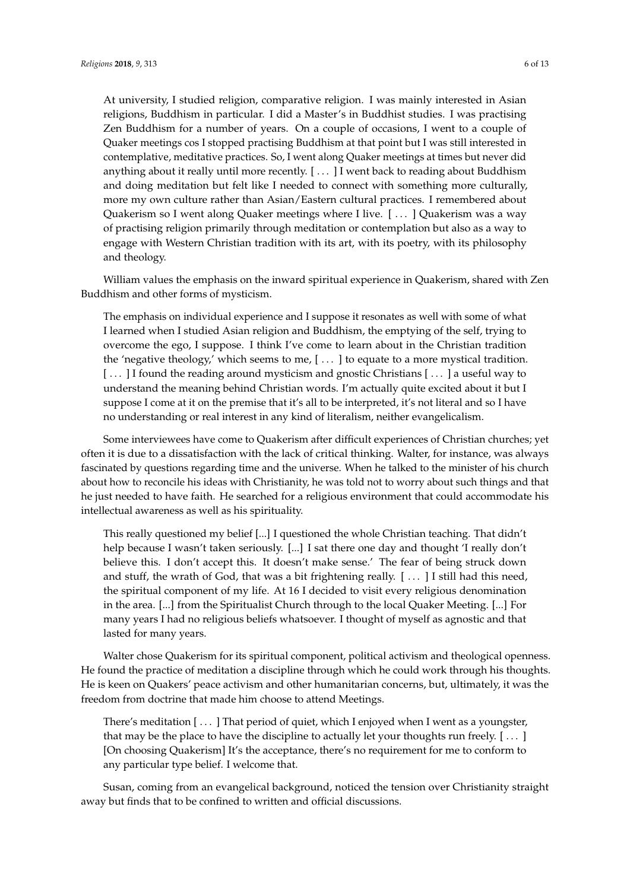At university, I studied religion, comparative religion. I was mainly interested in Asian religions, Buddhism in particular. I did a Master's in Buddhist studies. I was practising Zen Buddhism for a number of years. On a couple of occasions, I went to a couple of Quaker meetings cos I stopped practising Buddhism at that point but I was still interested in contemplative, meditative practices. So, I went along Quaker meetings at times but never did anything about it really until more recently. [ . . . ] I went back to reading about Buddhism and doing meditation but felt like I needed to connect with something more culturally, more my own culture rather than Asian/Eastern cultural practices. I remembered about Quakerism so I went along Quaker meetings where I live. [ . . . ] Quakerism was a way of practising religion primarily through meditation or contemplation but also as a way to engage with Western Christian tradition with its art, with its poetry, with its philosophy and theology.

William values the emphasis on the inward spiritual experience in Quakerism, shared with Zen Buddhism and other forms of mysticism.

The emphasis on individual experience and I suppose it resonates as well with some of what I learned when I studied Asian religion and Buddhism, the emptying of the self, trying to overcome the ego, I suppose. I think I've come to learn about in the Christian tradition the 'negative theology,' which seems to me, [ . . . ] to equate to a more mystical tradition. [ . . . ] I found the reading around mysticism and gnostic Christians [ . . . ] a useful way to understand the meaning behind Christian words. I'm actually quite excited about it but I suppose I come at it on the premise that it's all to be interpreted, it's not literal and so I have no understanding or real interest in any kind of literalism, neither evangelicalism.

Some interviewees have come to Quakerism after difficult experiences of Christian churches; yet often it is due to a dissatisfaction with the lack of critical thinking. Walter, for instance, was always fascinated by questions regarding time and the universe. When he talked to the minister of his church about how to reconcile his ideas with Christianity, he was told not to worry about such things and that he just needed to have faith. He searched for a religious environment that could accommodate his intellectual awareness as well as his spirituality.

This really questioned my belief [...] I questioned the whole Christian teaching. That didn't help because I wasn't taken seriously. [...] I sat there one day and thought 'I really don't believe this. I don't accept this. It doesn't make sense.' The fear of being struck down and stuff, the wrath of God, that was a bit frightening really. [...] I still had this need, the spiritual component of my life. At 16 I decided to visit every religious denomination in the area. [...] from the Spiritualist Church through to the local Quaker Meeting. [...] For many years I had no religious beliefs whatsoever. I thought of myself as agnostic and that lasted for many years.

Walter chose Quakerism for its spiritual component, political activism and theological openness. He found the practice of meditation a discipline through which he could work through his thoughts. He is keen on Quakers' peace activism and other humanitarian concerns, but, ultimately, it was the freedom from doctrine that made him choose to attend Meetings.

There's meditation [ . . . ] That period of quiet, which I enjoyed when I went as a youngster, that may be the place to have the discipline to actually let your thoughts run freely.  $[\dots]$ [On choosing Quakerism] It's the acceptance, there's no requirement for me to conform to any particular type belief. I welcome that.

Susan, coming from an evangelical background, noticed the tension over Christianity straight away but finds that to be confined to written and official discussions.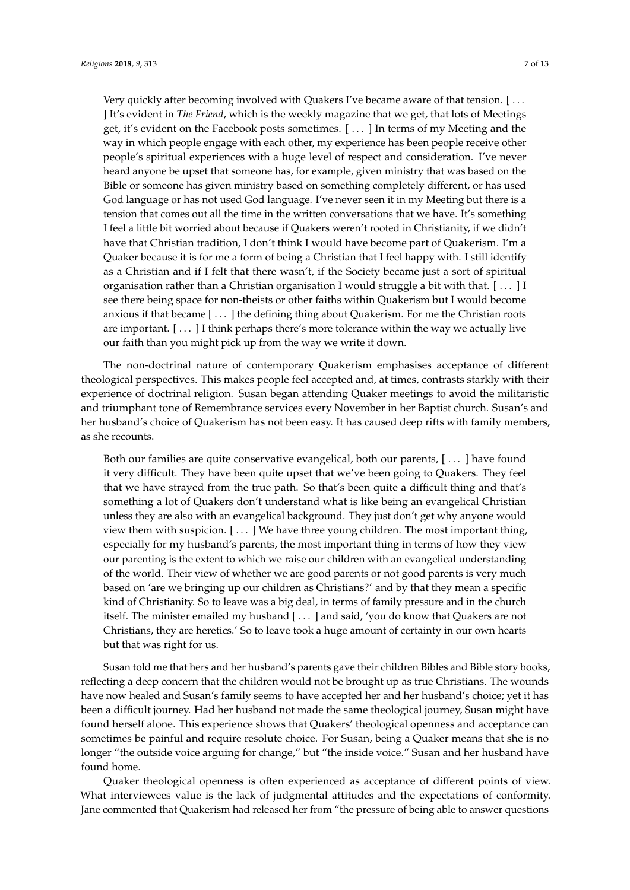Very quickly after becoming involved with Quakers I've became aware of that tension. [ . . . ] It's evident in *The Friend*, which is the weekly magazine that we get, that lots of Meetings get, it's evident on the Facebook posts sometimes. [ . . . ] In terms of my Meeting and the way in which people engage with each other, my experience has been people receive other people's spiritual experiences with a huge level of respect and consideration. I've never heard anyone be upset that someone has, for example, given ministry that was based on the Bible or someone has given ministry based on something completely different, or has used God language or has not used God language. I've never seen it in my Meeting but there is a tension that comes out all the time in the written conversations that we have. It's something I feel a little bit worried about because if Quakers weren't rooted in Christianity, if we didn't have that Christian tradition, I don't think I would have become part of Quakerism. I'm a Quaker because it is for me a form of being a Christian that I feel happy with. I still identify as a Christian and if I felt that there wasn't, if the Society became just a sort of spiritual organisation rather than a Christian organisation I would struggle a bit with that. [ . . . ] I see there being space for non-theists or other faiths within Quakerism but I would become anxious if that became [...] the defining thing about Quakerism. For me the Christian roots are important. [...] I think perhaps there's more tolerance within the way we actually live our faith than you might pick up from the way we write it down.

The non-doctrinal nature of contemporary Quakerism emphasises acceptance of different theological perspectives. This makes people feel accepted and, at times, contrasts starkly with their experience of doctrinal religion. Susan began attending Quaker meetings to avoid the militaristic and triumphant tone of Remembrance services every November in her Baptist church. Susan's and her husband's choice of Quakerism has not been easy. It has caused deep rifts with family members, as she recounts.

Both our families are quite conservative evangelical, both our parents, [ . . . ] have found it very difficult. They have been quite upset that we've been going to Quakers. They feel that we have strayed from the true path. So that's been quite a difficult thing and that's something a lot of Quakers don't understand what is like being an evangelical Christian unless they are also with an evangelical background. They just don't get why anyone would view them with suspicion. [ . . . ] We have three young children. The most important thing, especially for my husband's parents, the most important thing in terms of how they view our parenting is the extent to which we raise our children with an evangelical understanding of the world. Their view of whether we are good parents or not good parents is very much based on 'are we bringing up our children as Christians?' and by that they mean a specific kind of Christianity. So to leave was a big deal, in terms of family pressure and in the church itself. The minister emailed my husband [ . . . ] and said, 'you do know that Quakers are not Christians, they are heretics.' So to leave took a huge amount of certainty in our own hearts but that was right for us.

Susan told me that hers and her husband's parents gave their children Bibles and Bible story books, reflecting a deep concern that the children would not be brought up as true Christians. The wounds have now healed and Susan's family seems to have accepted her and her husband's choice; yet it has been a difficult journey. Had her husband not made the same theological journey, Susan might have found herself alone. This experience shows that Quakers' theological openness and acceptance can sometimes be painful and require resolute choice. For Susan, being a Quaker means that she is no longer "the outside voice arguing for change," but "the inside voice." Susan and her husband have found home.

Quaker theological openness is often experienced as acceptance of different points of view. What interviewees value is the lack of judgmental attitudes and the expectations of conformity. Jane commented that Quakerism had released her from "the pressure of being able to answer questions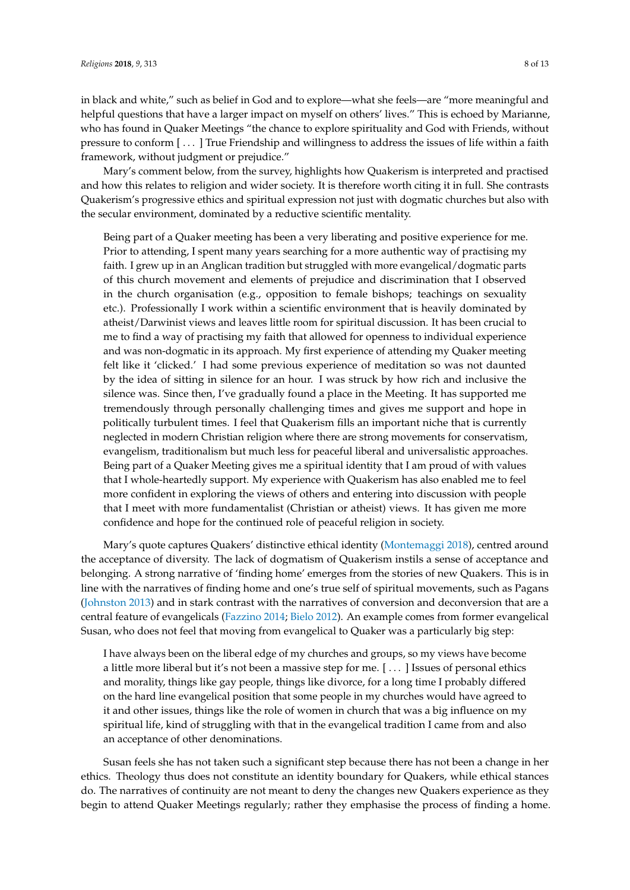in black and white," such as belief in God and to explore—what she feels—are "more meaningful and helpful questions that have a larger impact on myself on others' lives." This is echoed by Marianne, who has found in Quaker Meetings "the chance to explore spirituality and God with Friends, without pressure to conform [ . . . ] True Friendship and willingness to address the issues of life within a faith framework, without judgment or prejudice."

Mary's comment below, from the survey, highlights how Quakerism is interpreted and practised and how this relates to religion and wider society. It is therefore worth citing it in full. She contrasts Quakerism's progressive ethics and spiritual expression not just with dogmatic churches but also with the secular environment, dominated by a reductive scientific mentality.

Being part of a Quaker meeting has been a very liberating and positive experience for me. Prior to attending, I spent many years searching for a more authentic way of practising my faith. I grew up in an Anglican tradition but struggled with more evangelical/dogmatic parts of this church movement and elements of prejudice and discrimination that I observed in the church organisation (e.g., opposition to female bishops; teachings on sexuality etc.). Professionally I work within a scientific environment that is heavily dominated by atheist/Darwinist views and leaves little room for spiritual discussion. It has been crucial to me to find a way of practising my faith that allowed for openness to individual experience and was non-dogmatic in its approach. My first experience of attending my Quaker meeting felt like it 'clicked.' I had some previous experience of meditation so was not daunted by the idea of sitting in silence for an hour. I was struck by how rich and inclusive the silence was. Since then, I've gradually found a place in the Meeting. It has supported me tremendously through personally challenging times and gives me support and hope in politically turbulent times. I feel that Quakerism fills an important niche that is currently neglected in modern Christian religion where there are strong movements for conservatism, evangelism, traditionalism but much less for peaceful liberal and universalistic approaches. Being part of a Quaker Meeting gives me a spiritual identity that I am proud of with values that I whole-heartedly support. My experience with Quakerism has also enabled me to feel more confident in exploring the views of others and entering into discussion with people that I meet with more fundamentalist (Christian or atheist) views. It has given me more confidence and hope for the continued role of peaceful religion in society.

Mary's quote captures Quakers' distinctive ethical identity [\(Montemaggi](#page-12-10) [2018\)](#page-12-10), centred around the acceptance of diversity. The lack of dogmatism of Quakerism instils a sense of acceptance and belonging. A strong narrative of 'finding home' emerges from the stories of new Quakers. This is in line with the narratives of finding home and one's true self of spiritual movements, such as Pagans [\(Johnston](#page-11-20) [2013\)](#page-11-20) and in stark contrast with the narratives of conversion and deconversion that are a central feature of evangelicals [\(Fazzino](#page-11-21) [2014;](#page-11-21) [Bielo](#page-11-22) [2012\)](#page-11-22). An example comes from former evangelical Susan, who does not feel that moving from evangelical to Quaker was a particularly big step:

I have always been on the liberal edge of my churches and groups, so my views have become a little more liberal but it's not been a massive step for me. [ . . . ] Issues of personal ethics and morality, things like gay people, things like divorce, for a long time I probably differed on the hard line evangelical position that some people in my churches would have agreed to it and other issues, things like the role of women in church that was a big influence on my spiritual life, kind of struggling with that in the evangelical tradition I came from and also an acceptance of other denominations.

Susan feels she has not taken such a significant step because there has not been a change in her ethics. Theology thus does not constitute an identity boundary for Quakers, while ethical stances do. The narratives of continuity are not meant to deny the changes new Quakers experience as they begin to attend Quaker Meetings regularly; rather they emphasise the process of finding a home.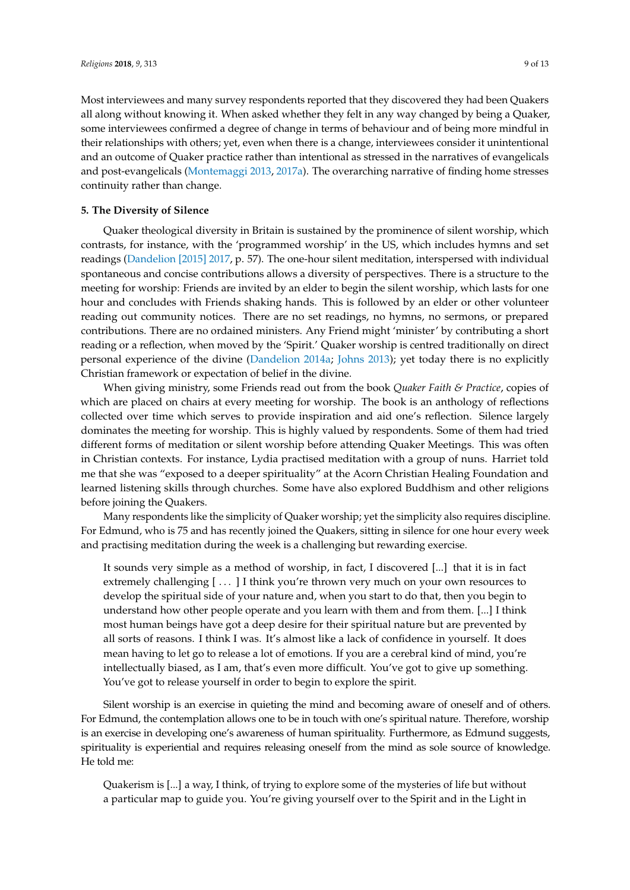Most interviewees and many survey respondents reported that they discovered they had been Quakers all along without knowing it. When asked whether they felt in any way changed by being a Quaker, some interviewees confirmed a degree of change in terms of behaviour and of being more mindful in their relationships with others; yet, even when there is a change, interviewees consider it unintentional and an outcome of Quaker practice rather than intentional as stressed in the narratives of evangelicals and post-evangelicals [\(Montemaggi](#page-12-17) [2013,](#page-12-17) [2017a\)](#page-12-2). The overarching narrative of finding home stresses continuity rather than change.

#### **5. The Diversity of Silence**

Quaker theological diversity in Britain is sustained by the prominence of silent worship, which contrasts, for instance, with the 'programmed worship' in the US, which includes hymns and set readings [\(Dandelion](#page-11-23) [2015] [2017,](#page-11-23) p. 57). The one-hour silent meditation, interspersed with individual spontaneous and concise contributions allows a diversity of perspectives. There is a structure to the meeting for worship: Friends are invited by an elder to begin the silent worship, which lasts for one hour and concludes with Friends shaking hands. This is followed by an elder or other volunteer reading out community notices. There are no set readings, no hymns, no sermons, or prepared contributions. There are no ordained ministers. Any Friend might 'minister' by contributing a short reading or a reflection, when moved by the 'Spirit.' Quaker worship is centred traditionally on direct personal experience of the divine [\(Dandelion](#page-11-5) [2014a;](#page-11-5) [Johns](#page-11-24) [2013\)](#page-11-24); yet today there is no explicitly Christian framework or expectation of belief in the divine.

When giving ministry, some Friends read out from the book *Quaker Faith & Practice*, copies of which are placed on chairs at every meeting for worship. The book is an anthology of reflections collected over time which serves to provide inspiration and aid one's reflection. Silence largely dominates the meeting for worship. This is highly valued by respondents. Some of them had tried different forms of meditation or silent worship before attending Quaker Meetings. This was often in Christian contexts. For instance, Lydia practised meditation with a group of nuns. Harriet told me that she was "exposed to a deeper spirituality" at the Acorn Christian Healing Foundation and learned listening skills through churches. Some have also explored Buddhism and other religions before joining the Quakers.

Many respondents like the simplicity of Quaker worship; yet the simplicity also requires discipline. For Edmund, who is 75 and has recently joined the Quakers, sitting in silence for one hour every week and practising meditation during the week is a challenging but rewarding exercise.

It sounds very simple as a method of worship, in fact, I discovered [...] that it is in fact extremely challenging [ ... ] I think you're thrown very much on your own resources to develop the spiritual side of your nature and, when you start to do that, then you begin to understand how other people operate and you learn with them and from them. [...] I think most human beings have got a deep desire for their spiritual nature but are prevented by all sorts of reasons. I think I was. It's almost like a lack of confidence in yourself. It does mean having to let go to release a lot of emotions. If you are a cerebral kind of mind, you're intellectually biased, as I am, that's even more difficult. You've got to give up something. You've got to release yourself in order to begin to explore the spirit.

Silent worship is an exercise in quieting the mind and becoming aware of oneself and of others. For Edmund, the contemplation allows one to be in touch with one's spiritual nature. Therefore, worship is an exercise in developing one's awareness of human spirituality. Furthermore, as Edmund suggests, spirituality is experiential and requires releasing oneself from the mind as sole source of knowledge. He told me:

Quakerism is [...] a way, I think, of trying to explore some of the mysteries of life but without a particular map to guide you. You're giving yourself over to the Spirit and in the Light in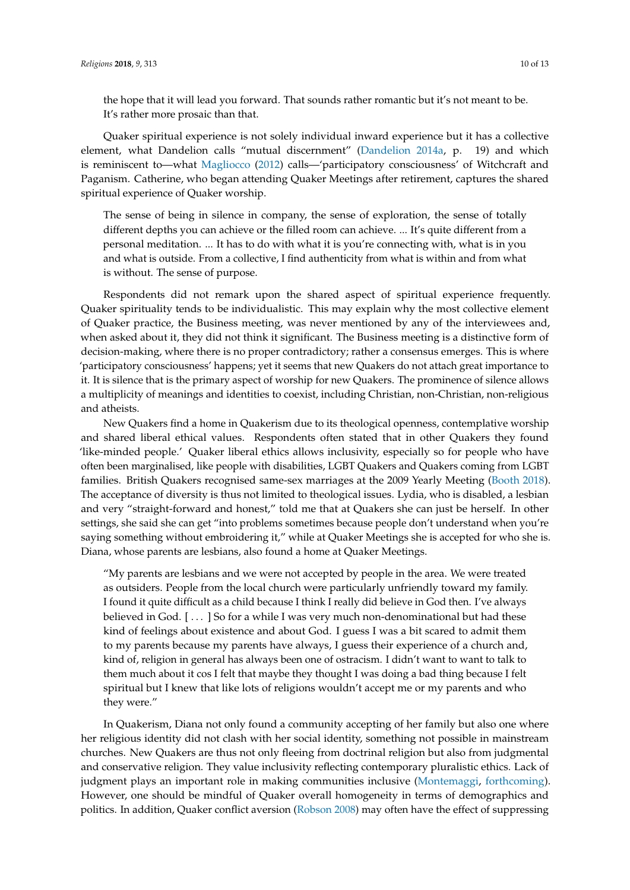the hope that it will lead you forward. That sounds rather romantic but it's not meant to be. It's rather more prosaic than that.

Quaker spiritual experience is not solely individual inward experience but it has a collective element, what Dandelion calls "mutual discernment" [\(Dandelion](#page-11-5) [2014a,](#page-11-5) p. 19) and which is reminiscent to—what [Magliocco](#page-11-25) [\(2012\)](#page-11-25) calls—'participatory consciousness' of Witchcraft and Paganism. Catherine, who began attending Quaker Meetings after retirement, captures the shared spiritual experience of Quaker worship.

The sense of being in silence in company, the sense of exploration, the sense of totally different depths you can achieve or the filled room can achieve. ... It's quite different from a personal meditation. ... It has to do with what it is you're connecting with, what is in you and what is outside. From a collective, I find authenticity from what is within and from what is without. The sense of purpose.

Respondents did not remark upon the shared aspect of spiritual experience frequently. Quaker spirituality tends to be individualistic. This may explain why the most collective element of Quaker practice, the Business meeting, was never mentioned by any of the interviewees and, when asked about it, they did not think it significant. The Business meeting is a distinctive form of decision-making, where there is no proper contradictory; rather a consensus emerges. This is where 'participatory consciousness' happens; yet it seems that new Quakers do not attach great importance to it. It is silence that is the primary aspect of worship for new Quakers. The prominence of silence allows a multiplicity of meanings and identities to coexist, including Christian, non-Christian, non-religious and atheists.

New Quakers find a home in Quakerism due to its theological openness, contemplative worship and shared liberal ethical values. Respondents often stated that in other Quakers they found 'like-minded people.' Quaker liberal ethics allows inclusivity, especially so for people who have often been marginalised, like people with disabilities, LGBT Quakers and Quakers coming from LGBT families. British Quakers recognised same-sex marriages at the 2009 Yearly Meeting [\(Booth](#page-11-26) [2018\)](#page-11-26). The acceptance of diversity is thus not limited to theological issues. Lydia, who is disabled, a lesbian and very "straight-forward and honest," told me that at Quakers she can just be herself. In other settings, she said she can get "into problems sometimes because people don't understand when you're saying something without embroidering it," while at Quaker Meetings she is accepted for who she is. Diana, whose parents are lesbians, also found a home at Quaker Meetings.

"My parents are lesbians and we were not accepted by people in the area. We were treated as outsiders. People from the local church were particularly unfriendly toward my family. I found it quite difficult as a child because I think I really did believe in God then. I've always believed in God. [...] So for a while I was very much non-denominational but had these kind of feelings about existence and about God. I guess I was a bit scared to admit them to my parents because my parents have always, I guess their experience of a church and, kind of, religion in general has always been one of ostracism. I didn't want to want to talk to them much about it cos I felt that maybe they thought I was doing a bad thing because I felt spiritual but I knew that like lots of religions wouldn't accept me or my parents and who they were."

In Quakerism, Diana not only found a community accepting of her family but also one where her religious identity did not clash with her social identity, something not possible in mainstream churches. New Quakers are thus not only fleeing from doctrinal religion but also from judgmental and conservative religion. They value inclusivity reflecting contemporary pluralistic ethics. Lack of judgment plays an important role in making communities inclusive [\(Montemaggi,](#page-12-18) [forthcoming\)](#page-12-18). However, one should be mindful of Quaker overall homogeneity in terms of demographics and politics. In addition, Quaker conflict aversion [\(Robson](#page-12-19) [2008\)](#page-12-19) may often have the effect of suppressing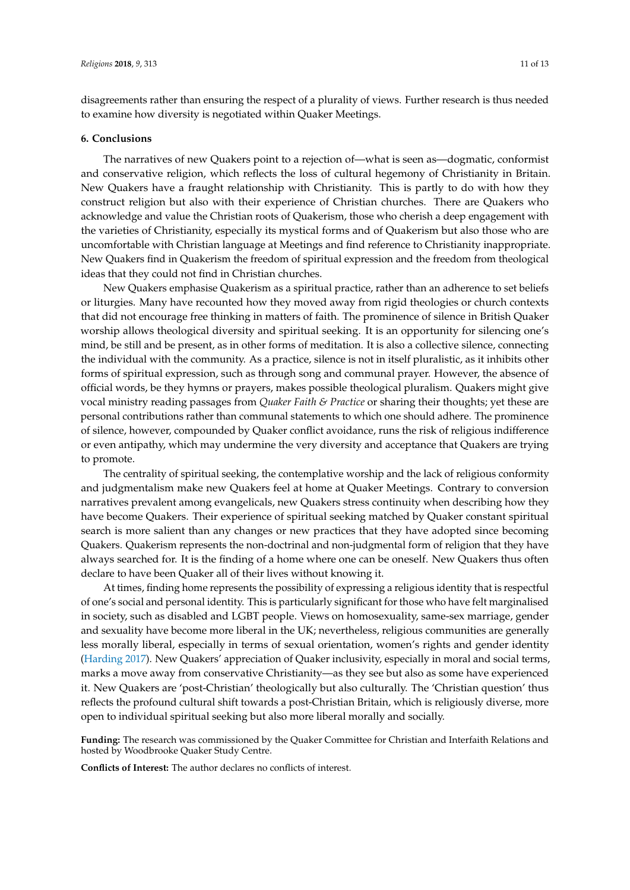disagreements rather than ensuring the respect of a plurality of views. Further research is thus needed to examine how diversity is negotiated within Quaker Meetings.

#### **6. Conclusions**

The narratives of new Quakers point to a rejection of—what is seen as—dogmatic, conformist and conservative religion, which reflects the loss of cultural hegemony of Christianity in Britain. New Quakers have a fraught relationship with Christianity. This is partly to do with how they construct religion but also with their experience of Christian churches. There are Quakers who acknowledge and value the Christian roots of Quakerism, those who cherish a deep engagement with the varieties of Christianity, especially its mystical forms and of Quakerism but also those who are uncomfortable with Christian language at Meetings and find reference to Christianity inappropriate. New Quakers find in Quakerism the freedom of spiritual expression and the freedom from theological ideas that they could not find in Christian churches.

New Quakers emphasise Quakerism as a spiritual practice, rather than an adherence to set beliefs or liturgies. Many have recounted how they moved away from rigid theologies or church contexts that did not encourage free thinking in matters of faith. The prominence of silence in British Quaker worship allows theological diversity and spiritual seeking. It is an opportunity for silencing one's mind, be still and be present, as in other forms of meditation. It is also a collective silence, connecting the individual with the community. As a practice, silence is not in itself pluralistic, as it inhibits other forms of spiritual expression, such as through song and communal prayer. However, the absence of official words, be they hymns or prayers, makes possible theological pluralism. Quakers might give vocal ministry reading passages from *Quaker Faith & Practice* or sharing their thoughts; yet these are personal contributions rather than communal statements to which one should adhere. The prominence of silence, however, compounded by Quaker conflict avoidance, runs the risk of religious indifference or even antipathy, which may undermine the very diversity and acceptance that Quakers are trying to promote.

The centrality of spiritual seeking, the contemplative worship and the lack of religious conformity and judgmentalism make new Quakers feel at home at Quaker Meetings. Contrary to conversion narratives prevalent among evangelicals, new Quakers stress continuity when describing how they have become Quakers. Their experience of spiritual seeking matched by Quaker constant spiritual search is more salient than any changes or new practices that they have adopted since becoming Quakers. Quakerism represents the non-doctrinal and non-judgmental form of religion that they have always searched for. It is the finding of a home where one can be oneself. New Quakers thus often declare to have been Quaker all of their lives without knowing it.

At times, finding home represents the possibility of expressing a religious identity that is respectful of one's social and personal identity. This is particularly significant for those who have felt marginalised in society, such as disabled and LGBT people. Views on homosexuality, same-sex marriage, gender and sexuality have become more liberal in the UK; nevertheless, religious communities are generally less morally liberal, especially in terms of sexual orientation, women's rights and gender identity [\(Harding](#page-11-7) [2017\)](#page-11-7). New Quakers' appreciation of Quaker inclusivity, especially in moral and social terms, marks a move away from conservative Christianity—as they see but also as some have experienced it. New Quakers are 'post-Christian' theologically but also culturally. The 'Christian question' thus reflects the profound cultural shift towards a post-Christian Britain, which is religiously diverse, more open to individual spiritual seeking but also more liberal morally and socially.

**Funding:** The research was commissioned by the Quaker Committee for Christian and Interfaith Relations and hosted by Woodbrooke Quaker Study Centre.

**Conflicts of Interest:** The author declares no conflicts of interest.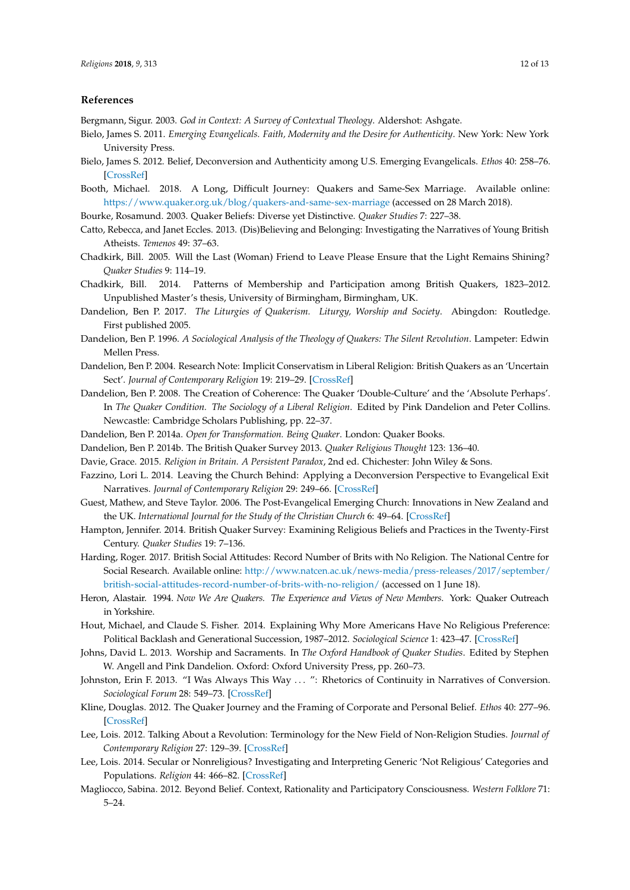#### **References**

<span id="page-11-0"></span>Bergmann, Sigur. 2003. *God in Context: A Survey of Contextual Theology*. Aldershot: Ashgate.

- <span id="page-11-2"></span>Bielo, James S. 2011. *Emerging Evangelicals. Faith, Modernity and the Desire for Authenticity*. New York: New York University Press.
- <span id="page-11-22"></span>Bielo, James S. 2012. Belief, Deconversion and Authenticity among U.S. Emerging Evangelicals. *Ethos* 40: 258–76. [\[CrossRef\]](http://dx.doi.org/10.1111/j.1548-1352.2012.01257.x)
- <span id="page-11-26"></span>Booth, Michael. 2018. A Long, Difficult Journey: Quakers and Same-Sex Marriage. Available online: <https://www.quaker.org.uk/blog/quakers-and-same-sex-marriage> (accessed on 28 March 2018).

<span id="page-11-16"></span>Bourke, Rosamund. 2003. Quaker Beliefs: Diverse yet Distinctive. *Quaker Studies* 7: 227–38.

- <span id="page-11-12"></span>Catto, Rebecca, and Janet Eccles. 2013. (Dis)Believing and Belonging: Investigating the Narratives of Young British Atheists. *Temenos* 49: 37–63.
- <span id="page-11-4"></span>Chadkirk, Bill. 2005. Will the Last (Woman) Friend to Leave Please Ensure that the Light Remains Shining? *Quaker Studies* 9: 114–19.
- <span id="page-11-3"></span>Chadkirk, Bill. 2014. Patterns of Membership and Participation among British Quakers, 1823–2012. Unpublished Master's thesis, University of Birmingham, Birmingham, UK.
- <span id="page-11-23"></span>Dandelion, Ben P. 2017. *The Liturgies of Quakerism. Liturgy, Worship and Society*. Abingdon: Routledge. First published 2005.
- <span id="page-11-6"></span>Dandelion, Ben P. 1996. *A Sociological Analysis of the Theology of Quakers: The Silent Revolution*. Lampeter: Edwin Mellen Press.
- <span id="page-11-14"></span>Dandelion, Ben P. 2004. Research Note: Implicit Conservatism in Liberal Religion: British Quakers as an 'Uncertain Sect'. *Journal of Contemporary Religion* 19: 219–29. [\[CrossRef\]](http://dx.doi.org/10.1080/1353790042000207728)
- <span id="page-11-13"></span>Dandelion, Ben P. 2008. The Creation of Coherence: The Quaker 'Double-Culture' and the 'Absolute Perhaps'. In *The Quaker Condition. The Sociology of a Liberal Religion*. Edited by Pink Dandelion and Peter Collins. Newcastle: Cambridge Scholars Publishing, pp. 22–37.
- <span id="page-11-5"></span>Dandelion, Ben P. 2014a. *Open for Transformation. Being Quaker*. London: Quaker Books.
- <span id="page-11-18"></span>Dandelion, Ben P. 2014b. The British Quaker Survey 2013. *Quaker Religious Thought* 123: 136–40.
- <span id="page-11-9"></span>Davie, Grace. 2015. *Religion in Britain. A Persistent Paradox*, 2nd ed. Chichester: John Wiley & Sons.
- <span id="page-11-21"></span>Fazzino, Lori L. 2014. Leaving the Church Behind: Applying a Deconversion Perspective to Evangelical Exit Narratives. *Journal of Contemporary Religion* 29: 249–66. [\[CrossRef\]](http://dx.doi.org/10.1080/13537903.2014.903664)
- <span id="page-11-1"></span>Guest, Mathew, and Steve Taylor. 2006. The Post-Evangelical Emerging Church: Innovations in New Zealand and the UK. *International Journal for the Study of the Christian Church* 6: 49–64. [\[CrossRef\]](http://dx.doi.org/10.1080/14742250500494757)
- <span id="page-11-19"></span>Hampton, Jennifer. 2014. British Quaker Survey: Examining Religious Beliefs and Practices in the Twenty-First Century. *Quaker Studies* 19: 7–136.
- <span id="page-11-7"></span>Harding, Roger. 2017. British Social Attitudes: Record Number of Brits with No Religion. The National Centre for Social Research. Available online: [http://www.natcen.ac.uk/news-media/press-releases/2017/september/](http://www.natcen.ac.uk/news-media/press-releases/2017/september/british-social-attitudes-record-number-of-brits-with-no-religion/) [british-social-attitudes-record-number-of-brits-with-no-religion/](http://www.natcen.ac.uk/news-media/press-releases/2017/september/british-social-attitudes-record-number-of-brits-with-no-religion/) (accessed on 1 June 18).
- <span id="page-11-17"></span>Heron, Alastair. 1994. *Now We Are Quakers. The Experience and Views of New Members*. York: Quaker Outreach in Yorkshire.
- <span id="page-11-10"></span>Hout, Michael, and Claude S. Fisher. 2014. Explaining Why More Americans Have No Religious Preference: Political Backlash and Generational Succession, 1987–2012. *Sociological Science* 1: 423–47. [\[CrossRef\]](http://dx.doi.org/10.15195/v1.a24)
- <span id="page-11-24"></span>Johns, David L. 2013. Worship and Sacraments. In *The Oxford Handbook of Quaker Studies*. Edited by Stephen W. Angell and Pink Dandelion. Oxford: Oxford University Press, pp. 260–73.
- <span id="page-11-20"></span>Johnston, Erin F. 2013. "I Was Always This Way . . . ": Rhetorics of Continuity in Narratives of Conversion. *Sociological Forum* 28: 549–73. [\[CrossRef\]](http://dx.doi.org/10.1111/socf.12037)
- <span id="page-11-15"></span>Kline, Douglas. 2012. The Quaker Journey and the Framing of Corporate and Personal Belief. *Ethos* 40: 277–96. [\[CrossRef\]](http://dx.doi.org/10.1111/j.1548-1352.2012.01258.x)
- <span id="page-11-11"></span>Lee, Lois. 2012. Talking About a Revolution: Terminology for the New Field of Non-Religion Studies. *Journal of Contemporary Religion* 27: 129–39. [\[CrossRef\]](http://dx.doi.org/10.1080/13537903.2012.642742)
- <span id="page-11-8"></span>Lee, Lois. 2014. Secular or Nonreligious? Investigating and Interpreting Generic 'Not Religious' Categories and Populations. *Religion* 44: 466–82. [\[CrossRef\]](http://dx.doi.org/10.1080/0048721X.2014.904035)
- <span id="page-11-25"></span>Magliocco, Sabina. 2012. Beyond Belief. Context, Rationality and Participatory Consciousness. *Western Folklore* 71: 5–24.